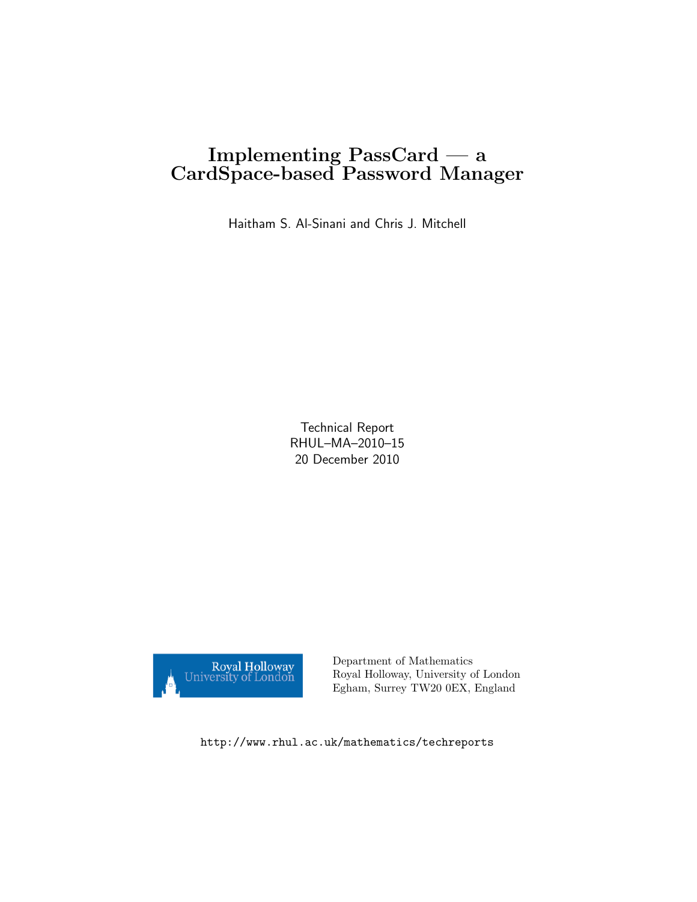# Implementing PassCard — a CardSpace-based Password Manager

Haitham S. Al-Sinani and Chris J. Mitchell

Technical Report RHUL–MA–2010–15 20 December 2010



Department of Mathematics Royal Holloway, University of London Egham, Surrey TW20 0EX, England

http://www.rhul.ac.uk/mathematics/techreports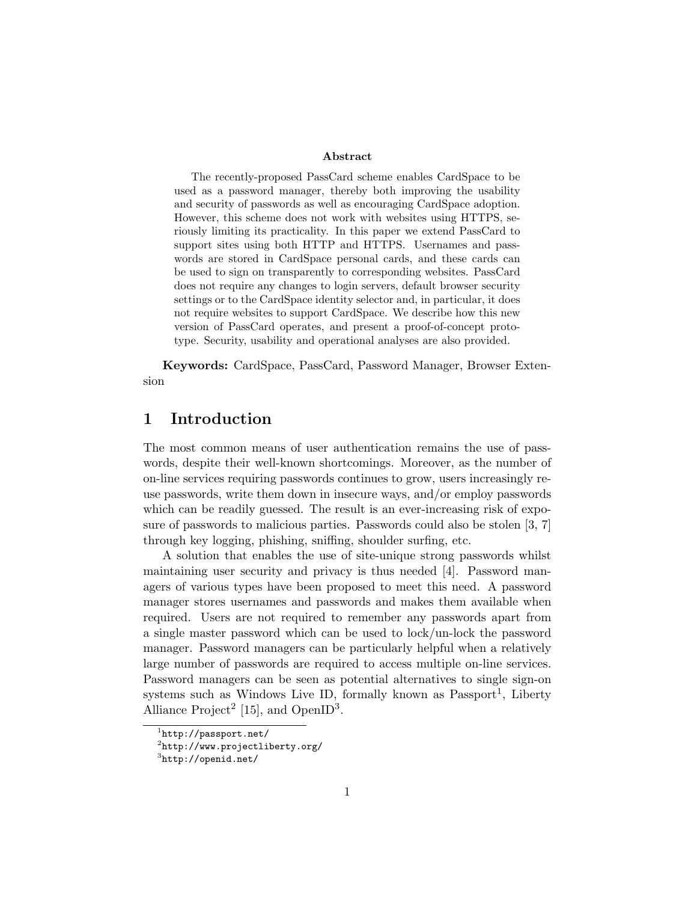#### Abstract

The recently-proposed PassCard scheme enables CardSpace to be used as a password manager, thereby both improving the usability and security of passwords as well as encouraging CardSpace adoption. However, this scheme does not work with websites using HTTPS, seriously limiting its practicality. In this paper we extend PassCard to support sites using both HTTP and HTTPS. Usernames and passwords are stored in CardSpace personal cards, and these cards can be used to sign on transparently to corresponding websites. PassCard does not require any changes to login servers, default browser security settings or to the CardSpace identity selector and, in particular, it does not require websites to support CardSpace. We describe how this new version of PassCard operates, and present a proof-of-concept prototype. Security, usability and operational analyses are also provided.

Keywords: CardSpace, PassCard, Password Manager, Browser Extension

## 1 Introduction

The most common means of user authentication remains the use of passwords, despite their well-known shortcomings. Moreover, as the number of on-line services requiring passwords continues to grow, users increasingly reuse passwords, write them down in insecure ways, and/or employ passwords which can be readily guessed. The result is an ever-increasing risk of exposure of passwords to malicious parties. Passwords could also be stolen [3, 7] through key logging, phishing, sniffing, shoulder surfing, etc.

A solution that enables the use of site-unique strong passwords whilst maintaining user security and privacy is thus needed [4]. Password managers of various types have been proposed to meet this need. A password manager stores usernames and passwords and makes them available when required. Users are not required to remember any passwords apart from a single master password which can be used to lock/un-lock the password manager. Password managers can be particularly helpful when a relatively large number of passwords are required to access multiple on-line services. Password managers can be seen as potential alternatives to single sign-on systems such as Windows Live ID, formally known as  $Passport<sup>1</sup>$ , Liberty Alliance Project<sup>2</sup> [15], and OpenID<sup>3</sup>.

<sup>1</sup> http://passport.net/

 $^{2}$ http://www.projectliberty.org/

 ${}^{3}$ http://openid.net/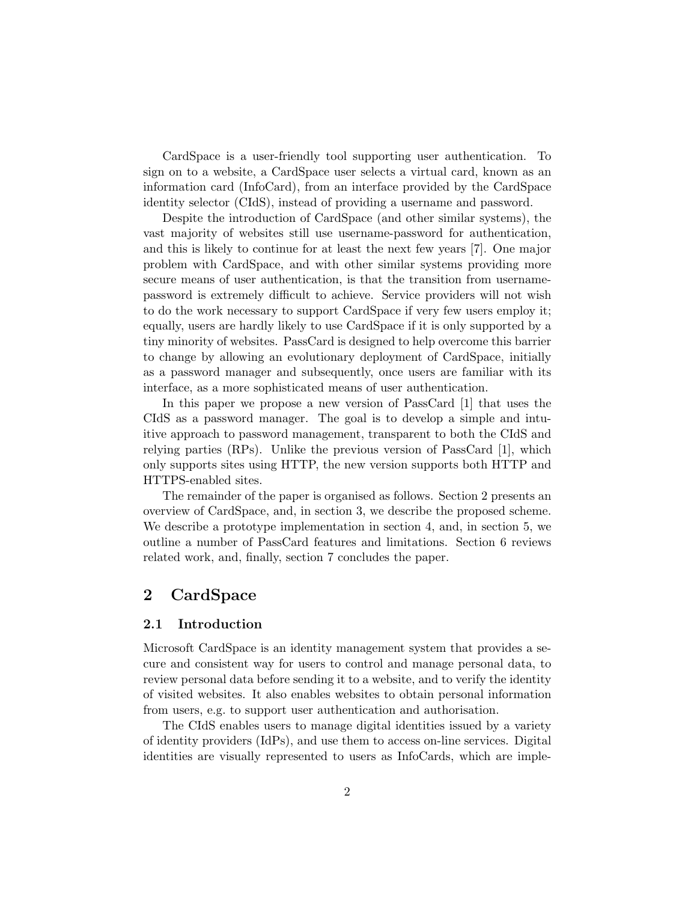CardSpace is a user-friendly tool supporting user authentication. To sign on to a website, a CardSpace user selects a virtual card, known as an information card (InfoCard), from an interface provided by the CardSpace identity selector (CIdS), instead of providing a username and password.

Despite the introduction of CardSpace (and other similar systems), the vast majority of websites still use username-password for authentication, and this is likely to continue for at least the next few years [7]. One major problem with CardSpace, and with other similar systems providing more secure means of user authentication, is that the transition from usernamepassword is extremely difficult to achieve. Service providers will not wish to do the work necessary to support CardSpace if very few users employ it; equally, users are hardly likely to use CardSpace if it is only supported by a tiny minority of websites. PassCard is designed to help overcome this barrier to change by allowing an evolutionary deployment of CardSpace, initially as a password manager and subsequently, once users are familiar with its interface, as a more sophisticated means of user authentication.

In this paper we propose a new version of PassCard [1] that uses the CIdS as a password manager. The goal is to develop a simple and intuitive approach to password management, transparent to both the CIdS and relying parties (RPs). Unlike the previous version of PassCard [1], which only supports sites using HTTP, the new version supports both HTTP and HTTPS-enabled sites.

The remainder of the paper is organised as follows. Section 2 presents an overview of CardSpace, and, in section 3, we describe the proposed scheme. We describe a prototype implementation in section 4, and, in section 5, we outline a number of PassCard features and limitations. Section 6 reviews related work, and, finally, section 7 concludes the paper.

## 2 CardSpace

### 2.1 Introduction

Microsoft CardSpace is an identity management system that provides a secure and consistent way for users to control and manage personal data, to review personal data before sending it to a website, and to verify the identity of visited websites. It also enables websites to obtain personal information from users, e.g. to support user authentication and authorisation.

The CIdS enables users to manage digital identities issued by a variety of identity providers (IdPs), and use them to access on-line services. Digital identities are visually represented to users as InfoCards, which are imple-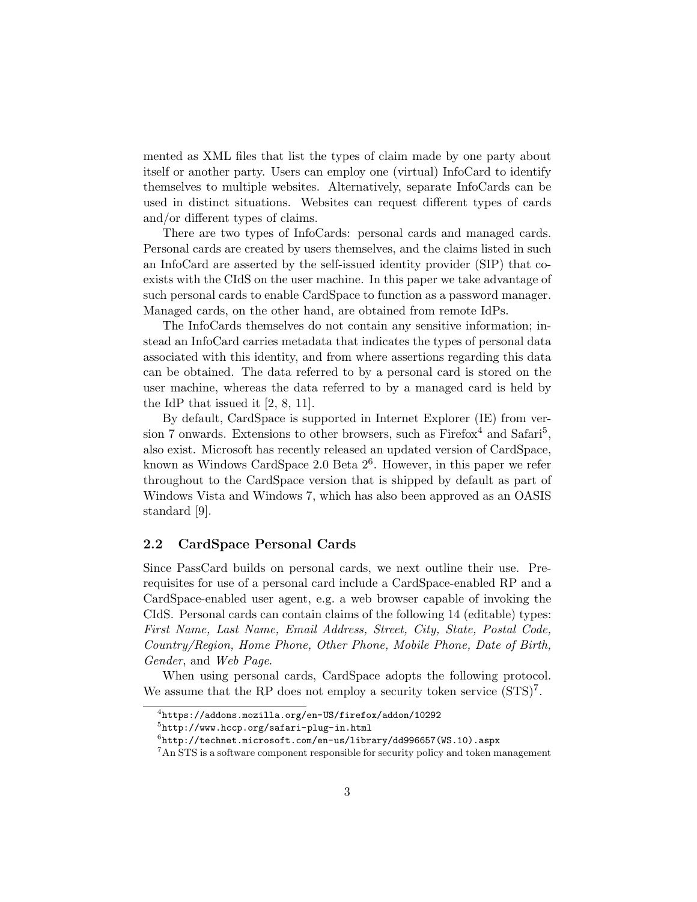mented as XML files that list the types of claim made by one party about itself or another party. Users can employ one (virtual) InfoCard to identify themselves to multiple websites. Alternatively, separate InfoCards can be used in distinct situations. Websites can request different types of cards and/or different types of claims.

There are two types of InfoCards: personal cards and managed cards. Personal cards are created by users themselves, and the claims listed in such an InfoCard are asserted by the self-issued identity provider (SIP) that coexists with the CIdS on the user machine. In this paper we take advantage of such personal cards to enable CardSpace to function as a password manager. Managed cards, on the other hand, are obtained from remote IdPs.

The InfoCards themselves do not contain any sensitive information; instead an InfoCard carries metadata that indicates the types of personal data associated with this identity, and from where assertions regarding this data can be obtained. The data referred to by a personal card is stored on the user machine, whereas the data referred to by a managed card is held by the IdP that issued it [2, 8, 11].

By default, CardSpace is supported in Internet Explorer (IE) from version 7 onwards. Extensions to other browsers, such as  $Firefox<sup>4</sup>$  and  $Safari<sup>5</sup>$ , also exist. Microsoft has recently released an updated version of CardSpace, known as Windows CardSpace 2.0 Beta  $2^6$ . However, in this paper we refer throughout to the CardSpace version that is shipped by default as part of Windows Vista and Windows 7, which has also been approved as an OASIS standard [9].

### 2.2 CardSpace Personal Cards

Since PassCard builds on personal cards, we next outline their use. Prerequisites for use of a personal card include a CardSpace-enabled RP and a CardSpace-enabled user agent, e.g. a web browser capable of invoking the CIdS. Personal cards can contain claims of the following 14 (editable) types: First Name, Last Name, Email Address, Street, City, State, Postal Code, Country/Region, Home Phone, Other Phone, Mobile Phone, Date of Birth, Gender, and Web Page.

When using personal cards, CardSpace adopts the following protocol. We assume that the RP does not employ a security token service  $(STS)^7$ .

 $^4$ https://addons.mozilla.org/en-US/firefox/addon/10292

 $^{5}$ http://www.hccp.org/safari-plug-in.html

 $^6$ http://technet.microsoft.com/en-us/library/dd996657(WS.10).aspx

<sup>&</sup>lt;sup>7</sup>An STS is a software component responsible for security policy and token management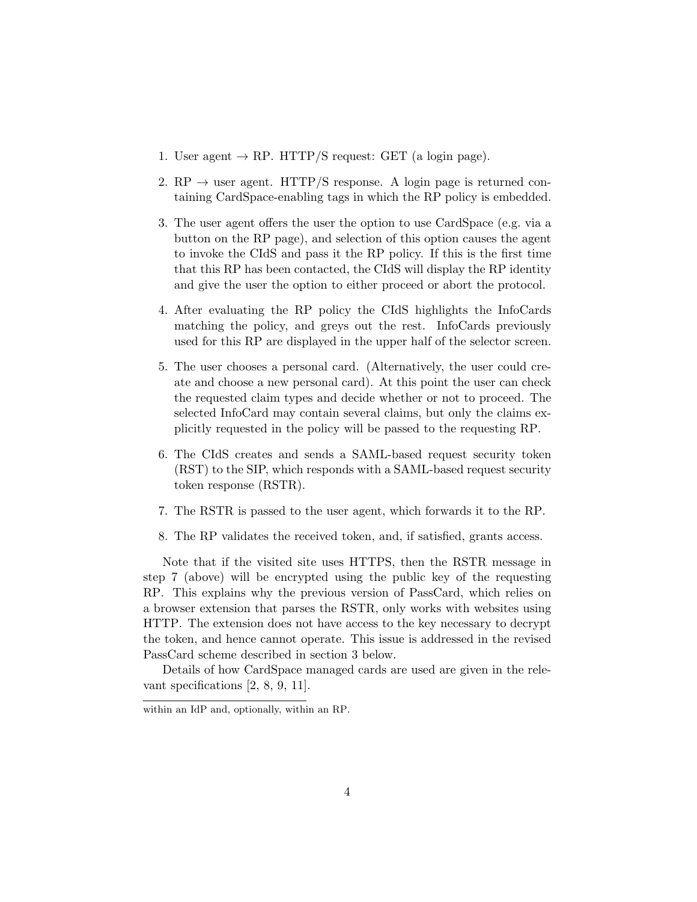- 1. User agent  $\rightarrow$  RP. HTTP/S request: GET (a login page).
- 2. RP  $\rightarrow$  user agent. HTTP/S response. A login page is returned containing CardSpace-enabling tags in which the RP policy is embedded.
- 3. The user agent offers the user the option to use CardSpace (e.g. via a button on the RP page), and selection of this option causes the agent to invoke the CIdS and pass it the RP policy. If this is the first time that this RP has been contacted, the CIdS will display the RP identity and give the user the option to either proceed or abort the protocol.
- 4. After evaluating the RP policy the CIdS highlights the InfoCards matching the policy, and greys out the rest. InfoCards previously used for this RP are displayed in the upper half of the selector screen.
- 5. The user chooses a personal card. (Alternatively, the user could create and choose a new personal card). At this point the user can check the requested claim types and decide whether or not to proceed. The selected InfoCard may contain several claims, but only the claims explicitly requested in the policy will be passed to the requesting RP.
- 6. The CIdS creates and sends a SAML-based request security token (RST) to the SIP, which responds with a SAML-based request security token response (RSTR).
- 7. The RSTR is passed to the user agent, which forwards it to the RP.
- 8. The RP validates the received token, and, if satisfied, grants access.

Note that if the visited site uses HTTPS, then the RSTR message in step 7 (above) will be encrypted using the public key of the requesting RP. This explains why the previous version of PassCard, which relies on a browser extension that parses the RSTR, only works with websites using HTTP. The extension does not have access to the key necessary to decrypt the token, and hence cannot operate. This issue is addressed in the revised PassCard scheme described in section 3 below.

Details of how CardSpace managed cards are used are given in the relevant specifications [2, 8, 9, 11].

within an IdP and, optionally, within an RP.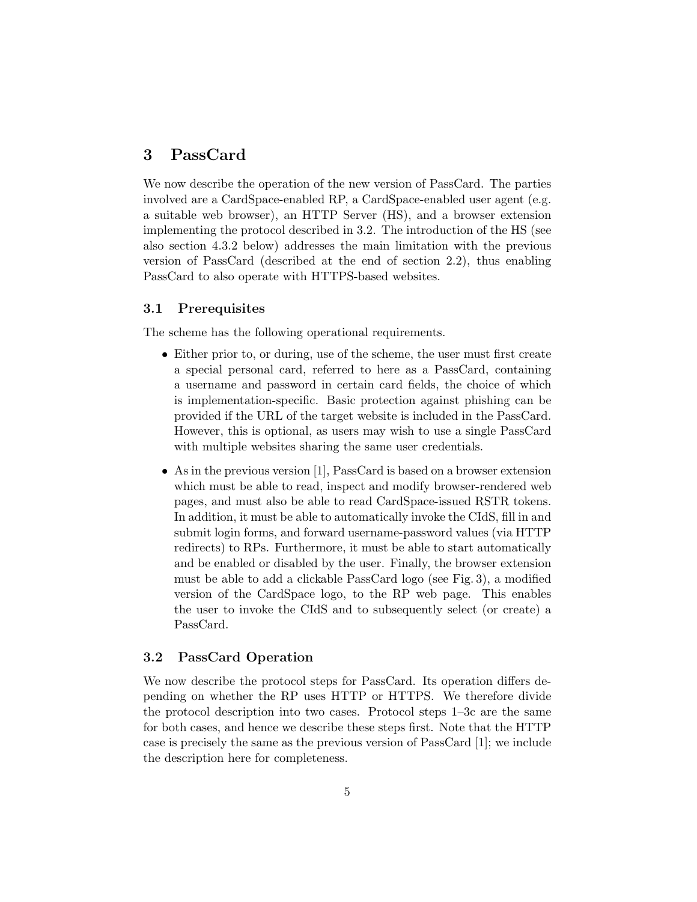## 3 PassCard

We now describe the operation of the new version of PassCard. The parties involved are a CardSpace-enabled RP, a CardSpace-enabled user agent (e.g. a suitable web browser), an HTTP Server (HS), and a browser extension implementing the protocol described in 3.2. The introduction of the HS (see also section 4.3.2 below) addresses the main limitation with the previous version of PassCard (described at the end of section 2.2), thus enabling PassCard to also operate with HTTPS-based websites.

### 3.1 Prerequisites

The scheme has the following operational requirements.

- Either prior to, or during, use of the scheme, the user must first create a special personal card, referred to here as a PassCard, containing a username and password in certain card fields, the choice of which is implementation-specific. Basic protection against phishing can be provided if the URL of the target website is included in the PassCard. However, this is optional, as users may wish to use a single PassCard with multiple websites sharing the same user credentials.
- As in the previous version [1], PassCard is based on a browser extension which must be able to read, inspect and modify browser-rendered web pages, and must also be able to read CardSpace-issued RSTR tokens. In addition, it must be able to automatically invoke the CIdS, fill in and submit login forms, and forward username-password values (via HTTP redirects) to RPs. Furthermore, it must be able to start automatically and be enabled or disabled by the user. Finally, the browser extension must be able to add a clickable PassCard logo (see Fig. 3), a modified version of the CardSpace logo, to the RP web page. This enables the user to invoke the CIdS and to subsequently select (or create) a PassCard.

## 3.2 PassCard Operation

We now describe the protocol steps for PassCard. Its operation differs depending on whether the RP uses HTTP or HTTPS. We therefore divide the protocol description into two cases. Protocol steps 1–3c are the same for both cases, and hence we describe these steps first. Note that the HTTP case is precisely the same as the previous version of PassCard [1]; we include the description here for completeness.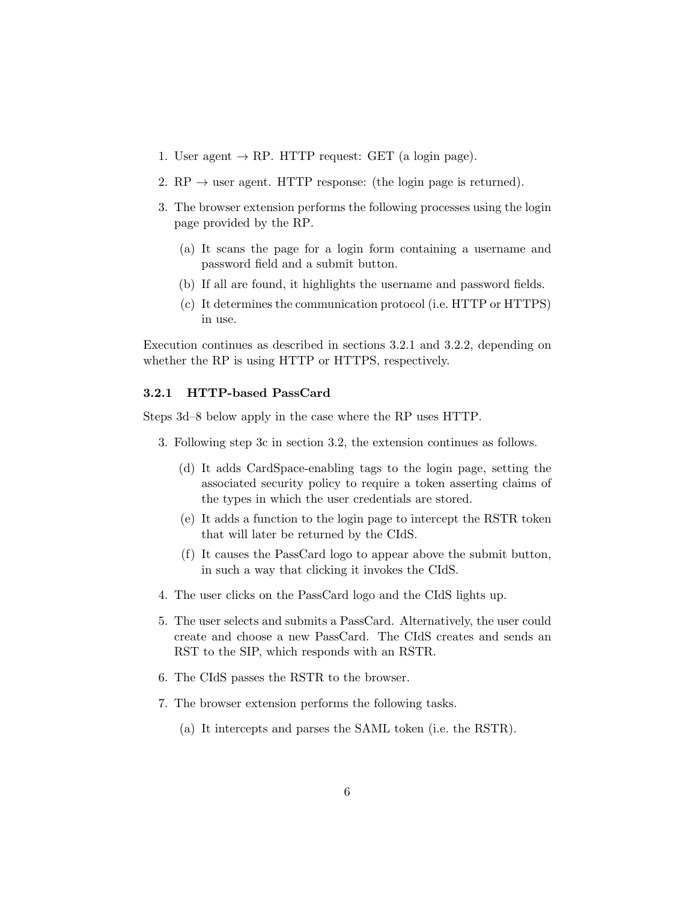- 1. User agent  $\rightarrow$  RP. HTTP request: GET (a login page).
- 2. RP  $\rightarrow$  user agent. HTTP response: (the login page is returned).
- 3. The browser extension performs the following processes using the login page provided by the RP.
	- (a) It scans the page for a login form containing a username and password field and a submit button.
	- (b) If all are found, it highlights the username and password fields.
	- (c) It determines the communication protocol (i.e. HTTP or HTTPS) in use.

Execution continues as described in sections 3.2.1 and 3.2.2, depending on whether the RP is using HTTP or HTTPS, respectively.

#### 3.2.1 HTTP-based PassCard

Steps 3d–8 below apply in the case where the RP uses HTTP.

- 3. Following step 3c in section 3.2, the extension continues as follows.
	- (d) It adds CardSpace-enabling tags to the login page, setting the associated security policy to require a token asserting claims of the types in which the user credentials are stored.
	- (e) It adds a function to the login page to intercept the RSTR token that will later be returned by the CIdS.
	- (f) It causes the PassCard logo to appear above the submit button, in such a way that clicking it invokes the CIdS.
- 4. The user clicks on the PassCard logo and the CIdS lights up.
- 5. The user selects and submits a PassCard. Alternatively, the user could create and choose a new PassCard. The CIdS creates and sends an RST to the SIP, which responds with an RSTR.
- 6. The CIdS passes the RSTR to the browser.
- 7. The browser extension performs the following tasks.
	- (a) It intercepts and parses the SAML token (i.e. the RSTR).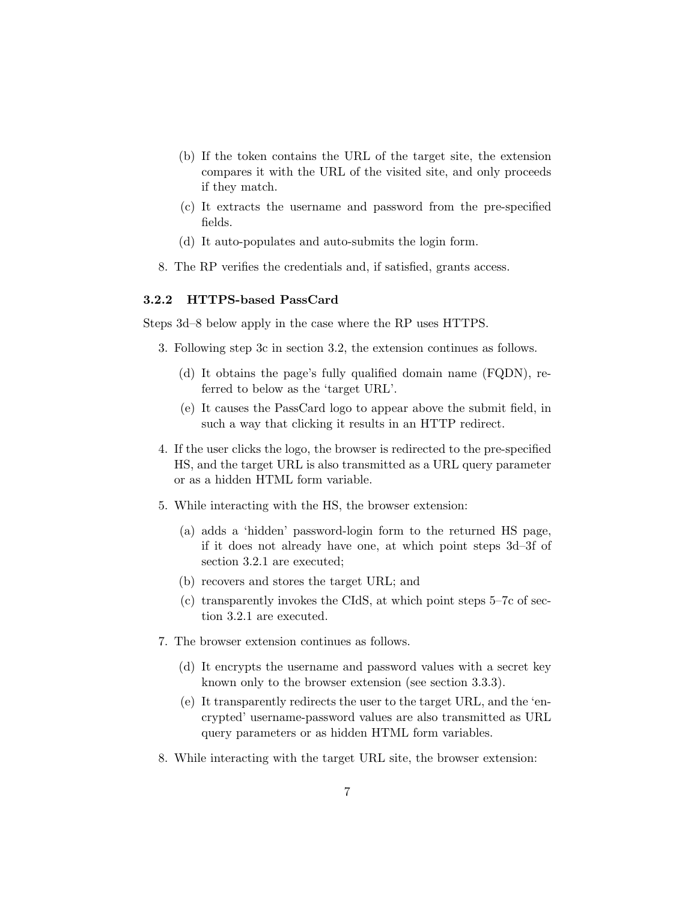- (b) If the token contains the URL of the target site, the extension compares it with the URL of the visited site, and only proceeds if they match.
- (c) It extracts the username and password from the pre-specified fields.
- (d) It auto-populates and auto-submits the login form.
- 8. The RP verifies the credentials and, if satisfied, grants access.

#### 3.2.2 HTTPS-based PassCard

Steps 3d–8 below apply in the case where the RP uses HTTPS.

- 3. Following step 3c in section 3.2, the extension continues as follows.
	- (d) It obtains the page's fully qualified domain name (FQDN), referred to below as the 'target URL'.
	- (e) It causes the PassCard logo to appear above the submit field, in such a way that clicking it results in an HTTP redirect.
- 4. If the user clicks the logo, the browser is redirected to the pre-specified HS, and the target URL is also transmitted as a URL query parameter or as a hidden HTML form variable.
- 5. While interacting with the HS, the browser extension:
	- (a) adds a 'hidden' password-login form to the returned HS page, if it does not already have one, at which point steps 3d–3f of section 3.2.1 are executed;
	- (b) recovers and stores the target URL; and
	- (c) transparently invokes the CIdS, at which point steps 5–7c of section 3.2.1 are executed.
- 7. The browser extension continues as follows.
	- (d) It encrypts the username and password values with a secret key known only to the browser extension (see section 3.3.3).
	- (e) It transparently redirects the user to the target URL, and the 'encrypted' username-password values are also transmitted as URL query parameters or as hidden HTML form variables.
- 8. While interacting with the target URL site, the browser extension: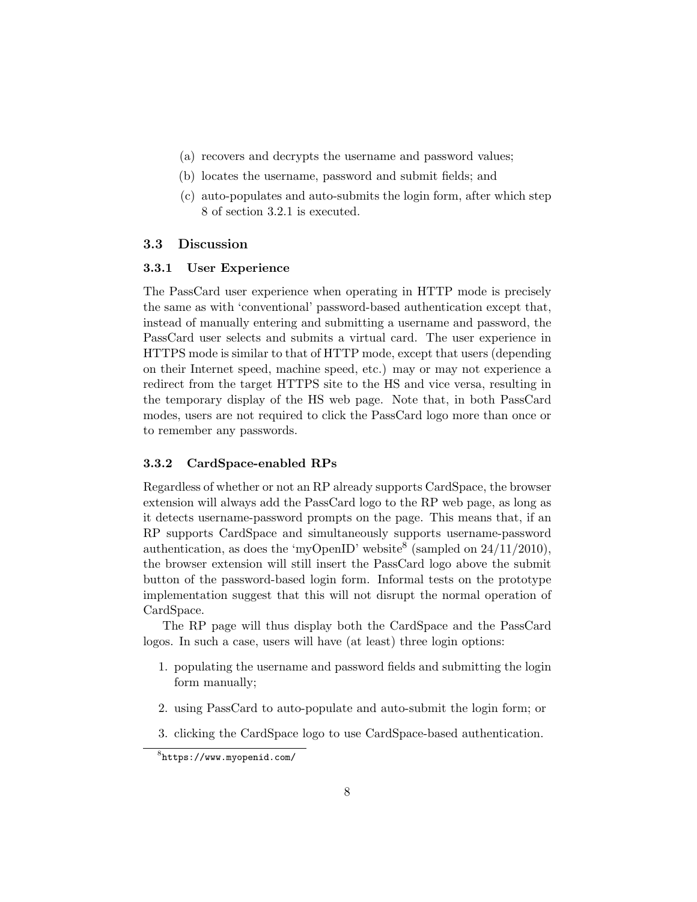- (a) recovers and decrypts the username and password values;
- (b) locates the username, password and submit fields; and
- (c) auto-populates and auto-submits the login form, after which step 8 of section 3.2.1 is executed.

## 3.3 Discussion

#### 3.3.1 User Experience

The PassCard user experience when operating in HTTP mode is precisely the same as with 'conventional' password-based authentication except that, instead of manually entering and submitting a username and password, the PassCard user selects and submits a virtual card. The user experience in HTTPS mode is similar to that of HTTP mode, except that users (depending on their Internet speed, machine speed, etc.) may or may not experience a redirect from the target HTTPS site to the HS and vice versa, resulting in the temporary display of the HS web page. Note that, in both PassCard modes, users are not required to click the PassCard logo more than once or to remember any passwords.

## 3.3.2 CardSpace-enabled RPs

Regardless of whether or not an RP already supports CardSpace, the browser extension will always add the PassCard logo to the RP web page, as long as it detects username-password prompts on the page. This means that, if an RP supports CardSpace and simultaneously supports username-password authentication, as does the 'myOpenID' website<sup>8</sup> (sampled on  $24/11/2010$ ), the browser extension will still insert the PassCard logo above the submit button of the password-based login form. Informal tests on the prototype implementation suggest that this will not disrupt the normal operation of CardSpace.

The RP page will thus display both the CardSpace and the PassCard logos. In such a case, users will have (at least) three login options:

- 1. populating the username and password fields and submitting the login form manually;
- 2. using PassCard to auto-populate and auto-submit the login form; or
- 3. clicking the CardSpace logo to use CardSpace-based authentication.

<sup>8</sup> https://www.myopenid.com/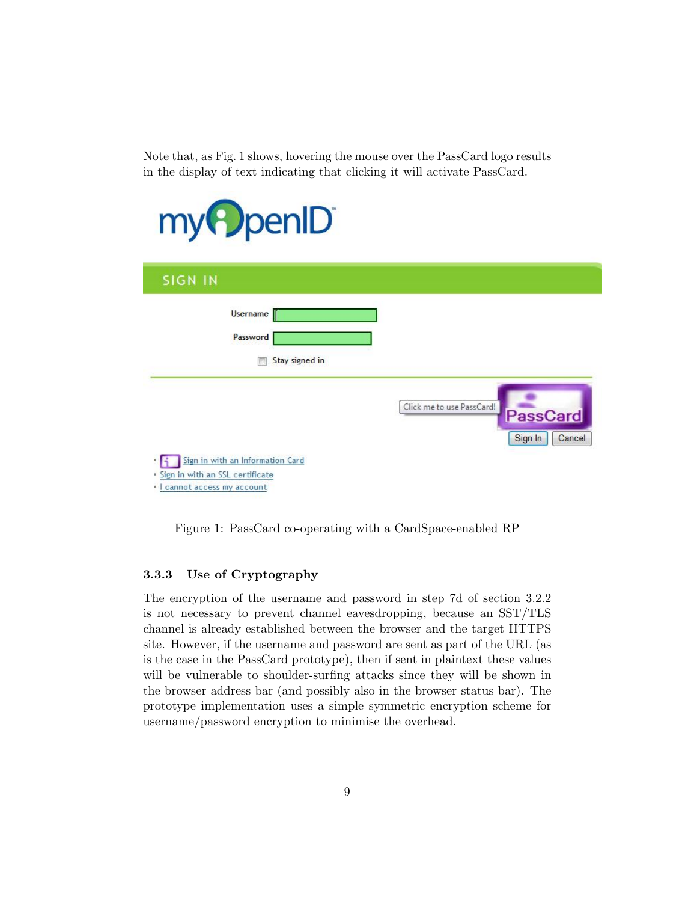Note that, as Fig. 1 shows, hovering the mouse over the PassCard logo results in the display of text indicating that clicking it will activate PassCard.



| Username            |                                              |
|---------------------|----------------------------------------------|
| Password            |                                              |
| Stay signed in<br>門 |                                              |
|                     | Click me to use PassCard!<br><b>PassCard</b> |
|                     | Sign In<br>Cancel                            |

Figure 1: PassCard co-operating with a CardSpace-enabled RP

#### 3.3.3 Use of Cryptography

The encryption of the username and password in step 7d of section 3.2.2 is not necessary to prevent channel eavesdropping, because an SST/TLS channel is already established between the browser and the target HTTPS site. However, if the username and password are sent as part of the URL (as is the case in the PassCard prototype), then if sent in plaintext these values will be vulnerable to shoulder-surfing attacks since they will be shown in the browser address bar (and possibly also in the browser status bar). The prototype implementation uses a simple symmetric encryption scheme for username/password encryption to minimise the overhead.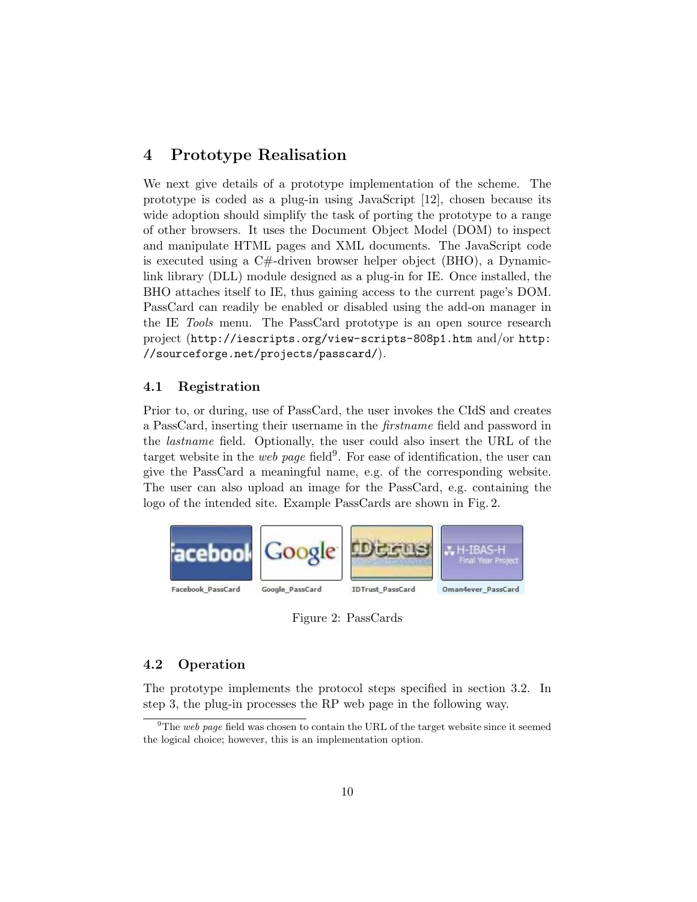## 4 Prototype Realisation

We next give details of a prototype implementation of the scheme. The prototype is coded as a plug-in using JavaScript [12], chosen because its wide adoption should simplify the task of porting the prototype to a range of other browsers. It uses the Document Object Model (DOM) to inspect and manipulate HTML pages and XML documents. The JavaScript code is executed using a C#-driven browser helper object (BHO), a Dynamiclink library (DLL) module designed as a plug-in for IE. Once installed, the BHO attaches itself to IE, thus gaining access to the current page's DOM. PassCard can readily be enabled or disabled using the add-on manager in the IE Tools menu. The PassCard prototype is an open source research project (http://iescripts.org/view-scripts-808p1.htm and/or http: //sourceforge.net/projects/passcard/).

## 4.1 Registration

Prior to, or during, use of PassCard, the user invokes the CIdS and creates a PassCard, inserting their username in the firstname field and password in the lastname field. Optionally, the user could also insert the URL of the target website in the *web* page field<sup>9</sup>. For ease of identification, the user can give the PassCard a meaningful name, e.g. of the corresponding website. The user can also upload an image for the PassCard, e.g. containing the logo of the intended site. Example PassCards are shown in Fig. 2.



Figure 2: PassCards

### 4.2 Operation

The prototype implements the protocol steps specified in section 3.2. In step 3, the plug-in processes the RP web page in the following way.

<sup>&</sup>lt;sup>9</sup>The web page field was chosen to contain the URL of the target website since it seemed the logical choice; however, this is an implementation option.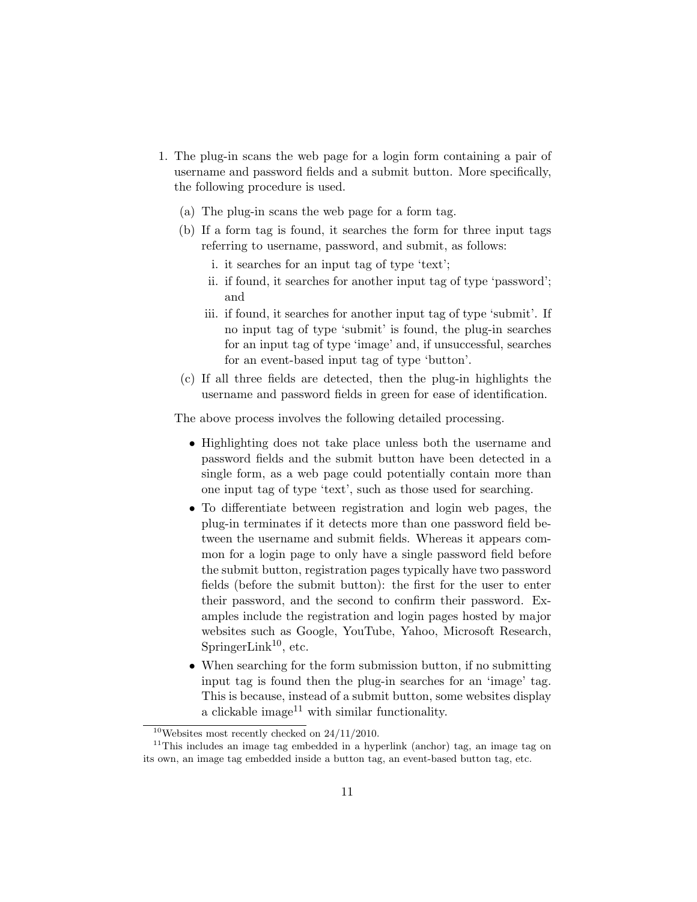- 1. The plug-in scans the web page for a login form containing a pair of username and password fields and a submit button. More specifically, the following procedure is used.
	- (a) The plug-in scans the web page for a form tag.
	- (b) If a form tag is found, it searches the form for three input tags referring to username, password, and submit, as follows:
		- i. it searches for an input tag of type 'text';
		- ii. if found, it searches for another input tag of type 'password'; and
		- iii. if found, it searches for another input tag of type 'submit'. If no input tag of type 'submit' is found, the plug-in searches for an input tag of type 'image' and, if unsuccessful, searches for an event-based input tag of type 'button'.
	- (c) If all three fields are detected, then the plug-in highlights the username and password fields in green for ease of identification.

The above process involves the following detailed processing.

- Highlighting does not take place unless both the username and password fields and the submit button have been detected in a single form, as a web page could potentially contain more than one input tag of type 'text', such as those used for searching.
- To differentiate between registration and login web pages, the plug-in terminates if it detects more than one password field between the username and submit fields. Whereas it appears common for a login page to only have a single password field before the submit button, registration pages typically have two password fields (before the submit button): the first for the user to enter their password, and the second to confirm their password. Examples include the registration and login pages hosted by major websites such as Google, YouTube, Yahoo, Microsoft Research, SpringerLink<sup>10</sup>, etc.
- When searching for the form submission button, if no submitting input tag is found then the plug-in searches for an 'image' tag. This is because, instead of a submit button, some websites display a clickable image<sup>11</sup> with similar functionality.

 $10$ Websites most recently checked on  $24/11/2010$ .

<sup>&</sup>lt;sup>11</sup>This includes an image tag embedded in a hyperlink (anchor) tag, an image tag on its own, an image tag embedded inside a button tag, an event-based button tag, etc.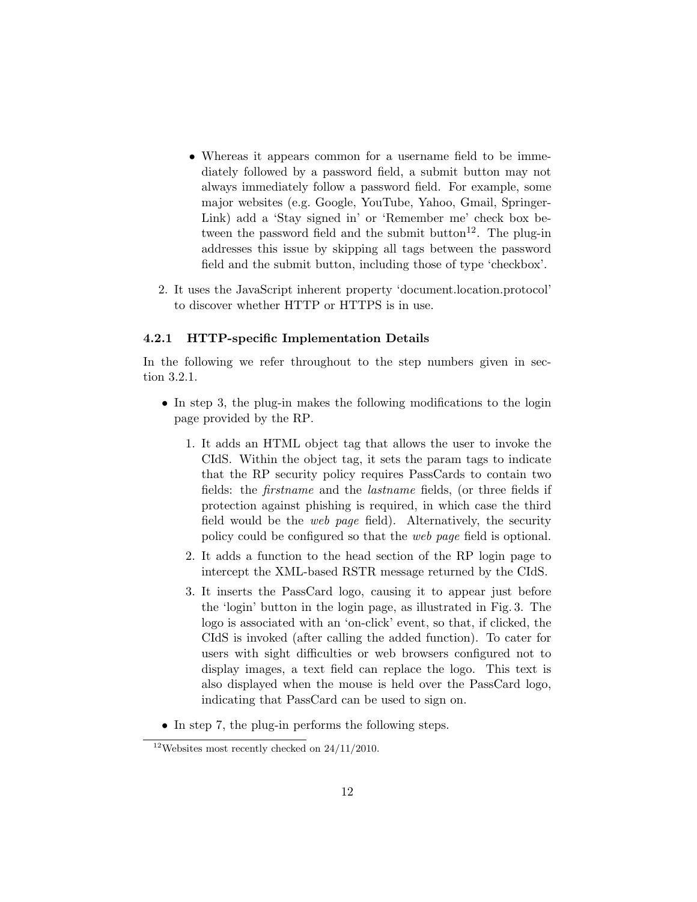- Whereas it appears common for a username field to be immediately followed by a password field, a submit button may not always immediately follow a password field. For example, some major websites (e.g. Google, YouTube, Yahoo, Gmail, Springer-Link) add a 'Stay signed in' or 'Remember me' check box between the password field and the submit button<sup>12</sup>. The plug-in addresses this issue by skipping all tags between the password field and the submit button, including those of type 'checkbox'.
- 2. It uses the JavaScript inherent property 'document.location.protocol' to discover whether HTTP or HTTPS is in use.

#### 4.2.1 HTTP-specific Implementation Details

In the following we refer throughout to the step numbers given in section 3.2.1.

- In step 3, the plug-in makes the following modifications to the login page provided by the RP.
	- 1. It adds an HTML object tag that allows the user to invoke the CIdS. Within the object tag, it sets the param tags to indicate that the RP security policy requires PassCards to contain two fields: the firstname and the lastname fields, (or three fields if protection against phishing is required, in which case the third field would be the *web page* field). Alternatively, the security policy could be configured so that the web page field is optional.
	- 2. It adds a function to the head section of the RP login page to intercept the XML-based RSTR message returned by the CIdS.
	- 3. It inserts the PassCard logo, causing it to appear just before the 'login' button in the login page, as illustrated in Fig. 3. The logo is associated with an 'on-click' event, so that, if clicked, the CIdS is invoked (after calling the added function). To cater for users with sight difficulties or web browsers configured not to display images, a text field can replace the logo. This text is also displayed when the mouse is held over the PassCard logo, indicating that PassCard can be used to sign on.
- In step 7, the plug-in performs the following steps.

<sup>&</sup>lt;sup>12</sup>Websites most recently checked on  $24/11/2010$ .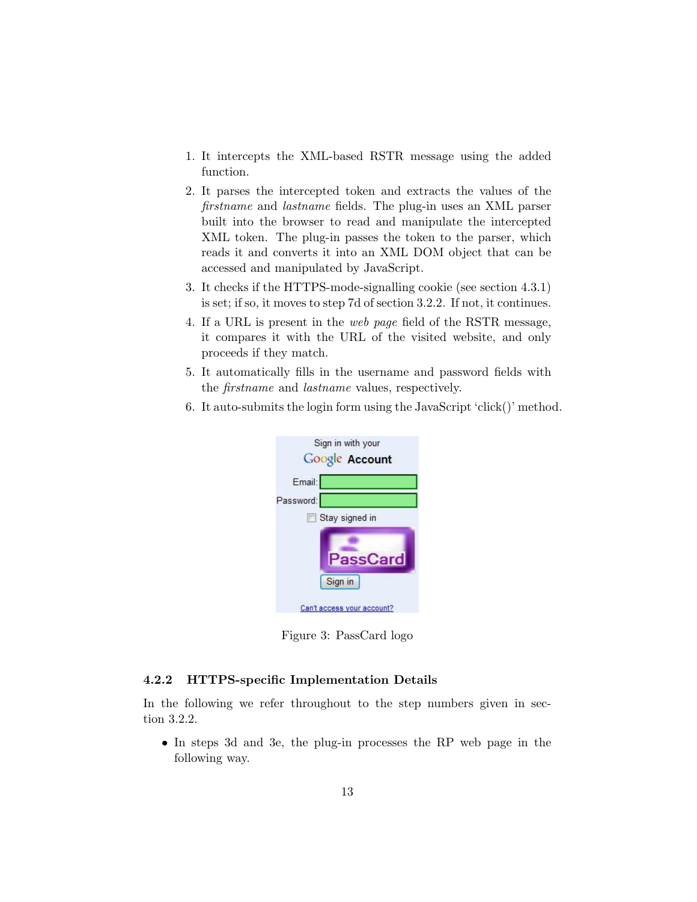- 1. It intercepts the XML-based RSTR message using the added function.
- 2. It parses the intercepted token and extracts the values of the firstname and lastname fields. The plug-in uses an XML parser built into the browser to read and manipulate the intercepted XML token. The plug-in passes the token to the parser, which reads it and converts it into an XML DOM object that can be accessed and manipulated by JavaScript.
- 3. It checks if the HTTPS-mode-signalling cookie (see section 4.3.1) is set; if so, it moves to step 7d of section 3.2.2. If not, it continues.
- 4. If a URL is present in the web page field of the RSTR message, it compares it with the URL of the visited website, and only proceeds if they match.
- 5. It automatically fills in the username and password fields with the firstname and lastname values, respectively.
- 6. It auto-submits the login form using the JavaScript 'click()' method.



Figure 3: PassCard logo

### 4.2.2 HTTPS-specific Implementation Details

In the following we refer throughout to the step numbers given in section 3.2.2.

• In steps 3d and 3e, the plug-in processes the RP web page in the following way.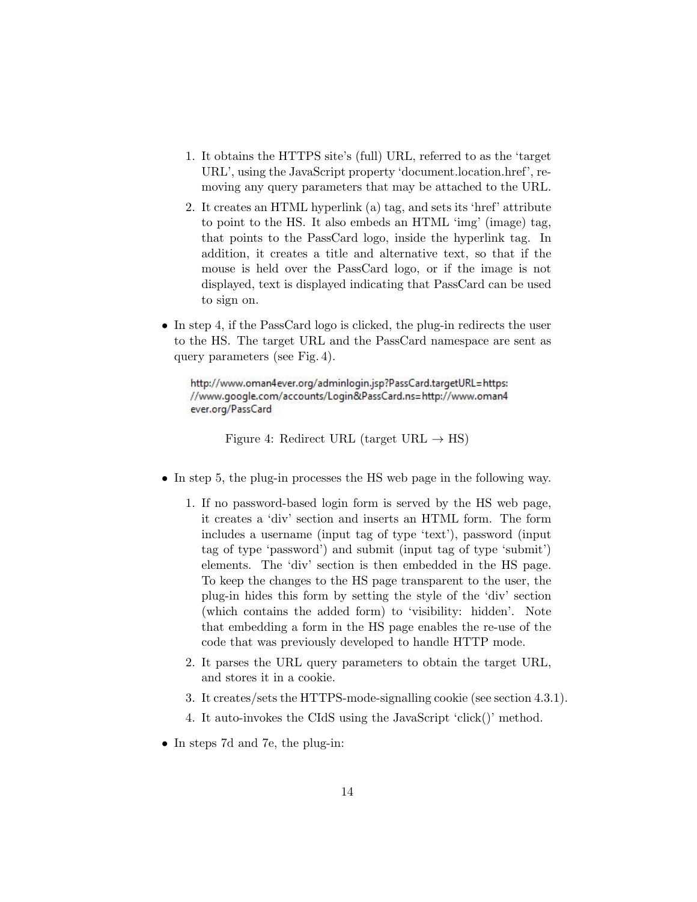- 1. It obtains the HTTPS site's (full) URL, referred to as the 'target URL', using the JavaScript property 'document.location.href', removing any query parameters that may be attached to the URL.
- 2. It creates an HTML hyperlink (a) tag, and sets its 'href' attribute to point to the HS. It also embeds an HTML 'img' (image) tag, that points to the PassCard logo, inside the hyperlink tag. In addition, it creates a title and alternative text, so that if the mouse is held over the PassCard logo, or if the image is not displayed, text is displayed indicating that PassCard can be used to sign on.
- In step 4, if the PassCard logo is clicked, the plug-in redirects the user to the HS. The target URL and the PassCard namespace are sent as query parameters (see Fig. 4).

http://www.oman4ever.org/adminlogin.jsp?PassCard.targetURL=https: //www.qoogle.com/accounts/Login&PassCard.ns=http://www.oman4 ever.org/PassCard

Figure 4: Redirect URL (target URL  $\rightarrow$  HS)

- In step 5, the plug-in processes the HS web page in the following way.
	- 1. If no password-based login form is served by the HS web page, it creates a 'div' section and inserts an HTML form. The form includes a username (input tag of type 'text'), password (input tag of type 'password') and submit (input tag of type 'submit') elements. The 'div' section is then embedded in the HS page. To keep the changes to the HS page transparent to the user, the plug-in hides this form by setting the style of the 'div' section (which contains the added form) to 'visibility: hidden'. Note that embedding a form in the HS page enables the re-use of the code that was previously developed to handle HTTP mode.
	- 2. It parses the URL query parameters to obtain the target URL, and stores it in a cookie.
	- 3. It creates/sets the HTTPS-mode-signalling cookie (see section 4.3.1).
	- 4. It auto-invokes the CIdS using the JavaScript 'click()' method.
- In steps 7d and 7e, the plug-in: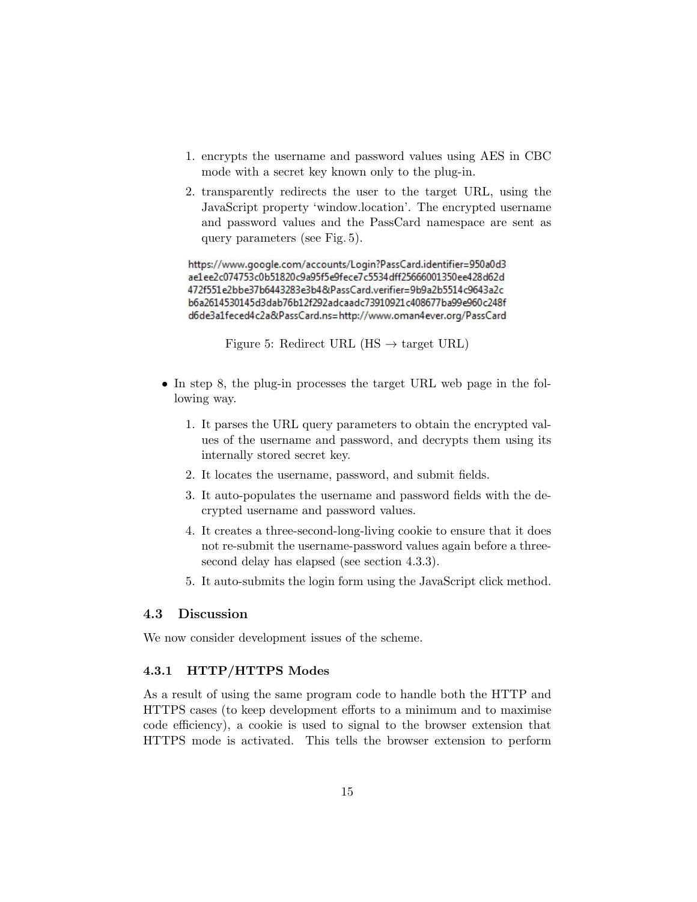- 1. encrypts the username and password values using AES in CBC mode with a secret key known only to the plug-in.
- 2. transparently redirects the user to the target URL, using the JavaScript property 'window.location'. The encrypted username and password values and the PassCard namespace are sent as query parameters (see Fig. 5).

https://www.google.com/accounts/Login?PassCard.identifier=950a0d3 ae1ee2c074753c0b51820c9a95f5e9fece7c5534dff25666001350ee428d62d 472f551e2bbe37b6443283e3b4&PassCard.verifier=9b9a2b5514c9643a2c b6a2614530145d3dab76b12f292adcaadc73910921c408677ba99e960c248f d6de3a1feced4c2a&PassCard.ns=http://www.oman4ever.org/PassCard

Figure 5: Redirect URL (HS  $\rightarrow$  target URL)

- In step 8, the plug-in processes the target URL web page in the following way.
	- 1. It parses the URL query parameters to obtain the encrypted values of the username and password, and decrypts them using its internally stored secret key.
	- 2. It locates the username, password, and submit fields.
	- 3. It auto-populates the username and password fields with the decrypted username and password values.
	- 4. It creates a three-second-long-living cookie to ensure that it does not re-submit the username-password values again before a threesecond delay has elapsed (see section 4.3.3).
	- 5. It auto-submits the login form using the JavaScript click method.

## 4.3 Discussion

We now consider development issues of the scheme.

## 4.3.1 HTTP/HTTPS Modes

As a result of using the same program code to handle both the HTTP and HTTPS cases (to keep development efforts to a minimum and to maximise code efficiency), a cookie is used to signal to the browser extension that HTTPS mode is activated. This tells the browser extension to perform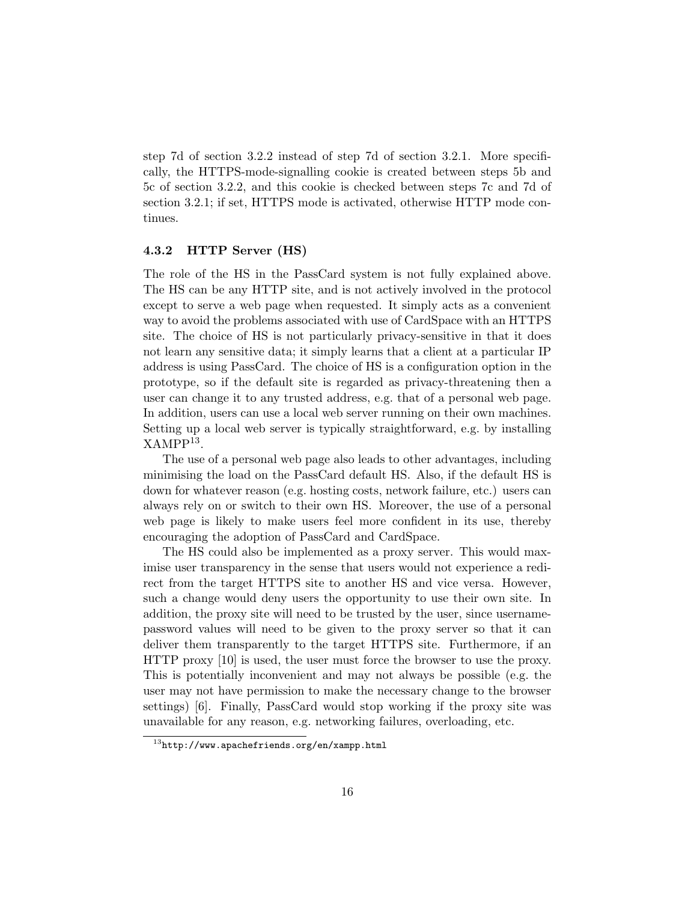step 7d of section 3.2.2 instead of step 7d of section 3.2.1. More specifically, the HTTPS-mode-signalling cookie is created between steps 5b and 5c of section 3.2.2, and this cookie is checked between steps 7c and 7d of section 3.2.1; if set, HTTPS mode is activated, otherwise HTTP mode continues.

### 4.3.2 HTTP Server (HS)

The role of the HS in the PassCard system is not fully explained above. The HS can be any HTTP site, and is not actively involved in the protocol except to serve a web page when requested. It simply acts as a convenient way to avoid the problems associated with use of CardSpace with an HTTPS site. The choice of HS is not particularly privacy-sensitive in that it does not learn any sensitive data; it simply learns that a client at a particular IP address is using PassCard. The choice of HS is a configuration option in the prototype, so if the default site is regarded as privacy-threatening then a user can change it to any trusted address, e.g. that of a personal web page. In addition, users can use a local web server running on their own machines. Setting up a local web server is typically straightforward, e.g. by installing  $XAMPP<sup>13</sup>$ .

The use of a personal web page also leads to other advantages, including minimising the load on the PassCard default HS. Also, if the default HS is down for whatever reason (e.g. hosting costs, network failure, etc.) users can always rely on or switch to their own HS. Moreover, the use of a personal web page is likely to make users feel more confident in its use, thereby encouraging the adoption of PassCard and CardSpace.

The HS could also be implemented as a proxy server. This would maximise user transparency in the sense that users would not experience a redirect from the target HTTPS site to another HS and vice versa. However, such a change would deny users the opportunity to use their own site. In addition, the proxy site will need to be trusted by the user, since usernamepassword values will need to be given to the proxy server so that it can deliver them transparently to the target HTTPS site. Furthermore, if an HTTP proxy [10] is used, the user must force the browser to use the proxy. This is potentially inconvenient and may not always be possible (e.g. the user may not have permission to make the necessary change to the browser settings) [6]. Finally, PassCard would stop working if the proxy site was unavailable for any reason, e.g. networking failures, overloading, etc.

<sup>13</sup>http://www.apachefriends.org/en/xampp.html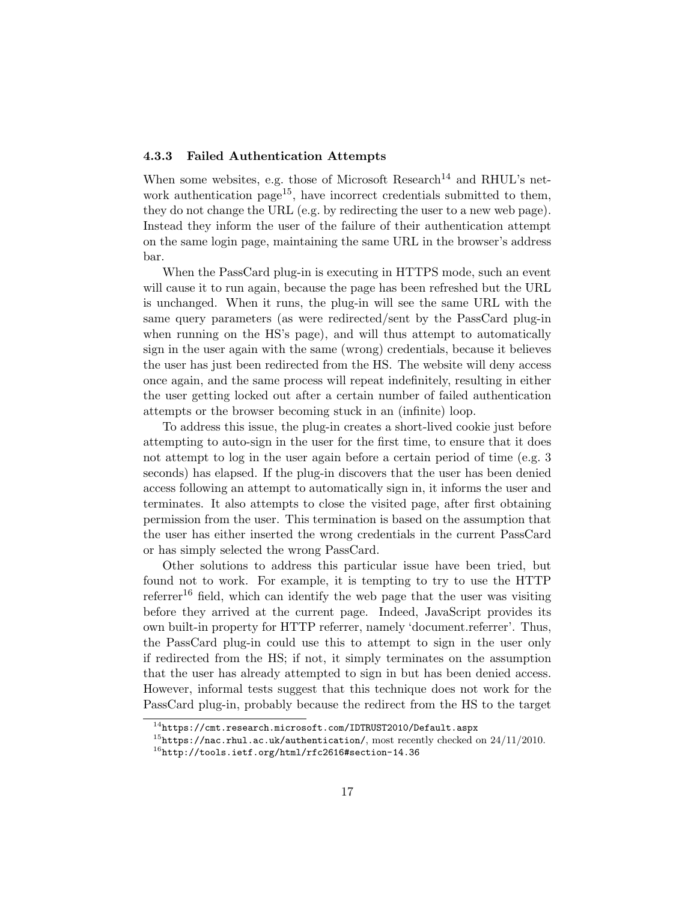### 4.3.3 Failed Authentication Attempts

When some websites, e.g. those of Microsoft Research<sup>14</sup> and RHUL's network authentication page<sup>15</sup>, have incorrect credentials submitted to them, they do not change the URL (e.g. by redirecting the user to a new web page). Instead they inform the user of the failure of their authentication attempt on the same login page, maintaining the same URL in the browser's address bar.

When the PassCard plug-in is executing in HTTPS mode, such an event will cause it to run again, because the page has been refreshed but the URL is unchanged. When it runs, the plug-in will see the same URL with the same query parameters (as were redirected/sent by the PassCard plug-in when running on the HS's page), and will thus attempt to automatically sign in the user again with the same (wrong) credentials, because it believes the user has just been redirected from the HS. The website will deny access once again, and the same process will repeat indefinitely, resulting in either the user getting locked out after a certain number of failed authentication attempts or the browser becoming stuck in an (infinite) loop.

To address this issue, the plug-in creates a short-lived cookie just before attempting to auto-sign in the user for the first time, to ensure that it does not attempt to log in the user again before a certain period of time (e.g. 3 seconds) has elapsed. If the plug-in discovers that the user has been denied access following an attempt to automatically sign in, it informs the user and terminates. It also attempts to close the visited page, after first obtaining permission from the user. This termination is based on the assumption that the user has either inserted the wrong credentials in the current PassCard or has simply selected the wrong PassCard.

Other solutions to address this particular issue have been tried, but found not to work. For example, it is tempting to try to use the HTTP referrer<sup>16</sup> field, which can identify the web page that the user was visiting before they arrived at the current page. Indeed, JavaScript provides its own built-in property for HTTP referrer, namely 'document.referrer'. Thus, the PassCard plug-in could use this to attempt to sign in the user only if redirected from the HS; if not, it simply terminates on the assumption that the user has already attempted to sign in but has been denied access. However, informal tests suggest that this technique does not work for the PassCard plug-in, probably because the redirect from the HS to the target

 $^{14}\mathrm{https}$  ://cmt.research.microsoft.com/IDTRUST2010/Default.aspx

 $15$ https://nac.rhul.ac.uk/authentication/, most recently checked on 24/11/2010.

 $^{16}$ http://tools.ietf.org/html/rfc2616#section-14.36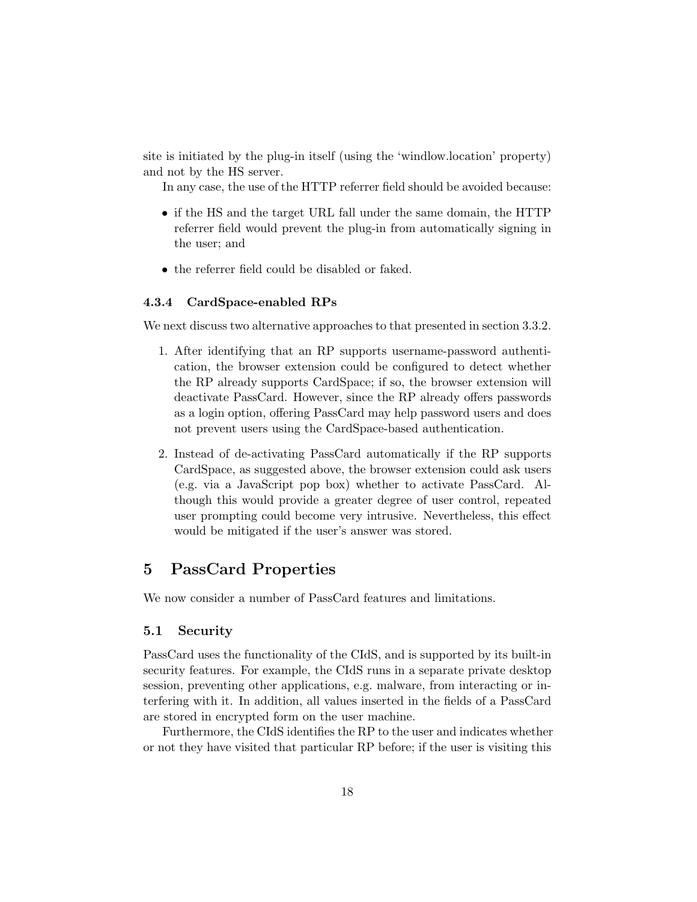site is initiated by the plug-in itself (using the 'windlow.location' property) and not by the HS server.

In any case, the use of the HTTP referrer field should be avoided because:

- if the HS and the target URL fall under the same domain, the HTTP referrer field would prevent the plug-in from automatically signing in the user; and
- the referrer field could be disabled or faked.

### 4.3.4 CardSpace-enabled RPs

We next discuss two alternative approaches to that presented in section 3.3.2.

- 1. After identifying that an RP supports username-password authentication, the browser extension could be configured to detect whether the RP already supports CardSpace; if so, the browser extension will deactivate PassCard. However, since the RP already offers passwords as a login option, offering PassCard may help password users and does not prevent users using the CardSpace-based authentication.
- 2. Instead of de-activating PassCard automatically if the RP supports CardSpace, as suggested above, the browser extension could ask users (e.g. via a JavaScript pop box) whether to activate PassCard. Although this would provide a greater degree of user control, repeated user prompting could become very intrusive. Nevertheless, this effect would be mitigated if the user's answer was stored.

## 5 PassCard Properties

We now consider a number of PassCard features and limitations.

## 5.1 Security

PassCard uses the functionality of the CIdS, and is supported by its built-in security features. For example, the CIdS runs in a separate private desktop session, preventing other applications, e.g. malware, from interacting or interfering with it. In addition, all values inserted in the fields of a PassCard are stored in encrypted form on the user machine.

Furthermore, the CIdS identifies the RP to the user and indicates whether or not they have visited that particular RP before; if the user is visiting this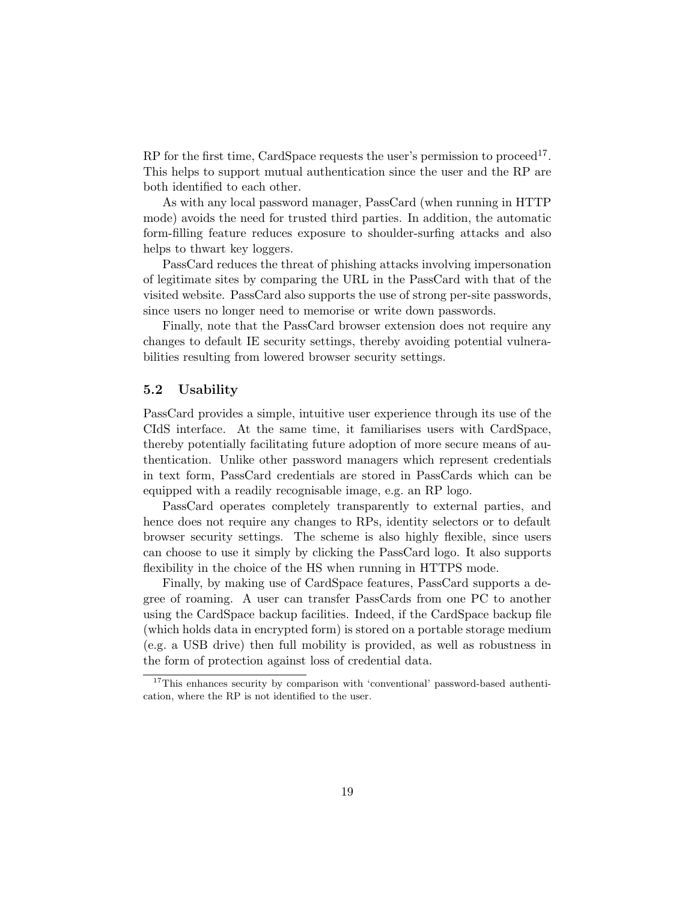RP for the first time, CardSpace requests the user's permission to proceed<sup>17</sup>. This helps to support mutual authentication since the user and the RP are both identified to each other.

As with any local password manager, PassCard (when running in HTTP mode) avoids the need for trusted third parties. In addition, the automatic form-filling feature reduces exposure to shoulder-surfing attacks and also helps to thwart key loggers.

PassCard reduces the threat of phishing attacks involving impersonation of legitimate sites by comparing the URL in the PassCard with that of the visited website. PassCard also supports the use of strong per-site passwords, since users no longer need to memorise or write down passwords.

Finally, note that the PassCard browser extension does not require any changes to default IE security settings, thereby avoiding potential vulnerabilities resulting from lowered browser security settings.

### 5.2 Usability

PassCard provides a simple, intuitive user experience through its use of the CIdS interface. At the same time, it familiarises users with CardSpace, thereby potentially facilitating future adoption of more secure means of authentication. Unlike other password managers which represent credentials in text form, PassCard credentials are stored in PassCards which can be equipped with a readily recognisable image, e.g. an RP logo.

PassCard operates completely transparently to external parties, and hence does not require any changes to RPs, identity selectors or to default browser security settings. The scheme is also highly flexible, since users can choose to use it simply by clicking the PassCard logo. It also supports flexibility in the choice of the HS when running in HTTPS mode.

Finally, by making use of CardSpace features, PassCard supports a degree of roaming. A user can transfer PassCards from one PC to another using the CardSpace backup facilities. Indeed, if the CardSpace backup file (which holds data in encrypted form) is stored on a portable storage medium (e.g. a USB drive) then full mobility is provided, as well as robustness in the form of protection against loss of credential data.

<sup>&</sup>lt;sup>17</sup>This enhances security by comparison with 'conventional' password-based authentication, where the RP is not identified to the user.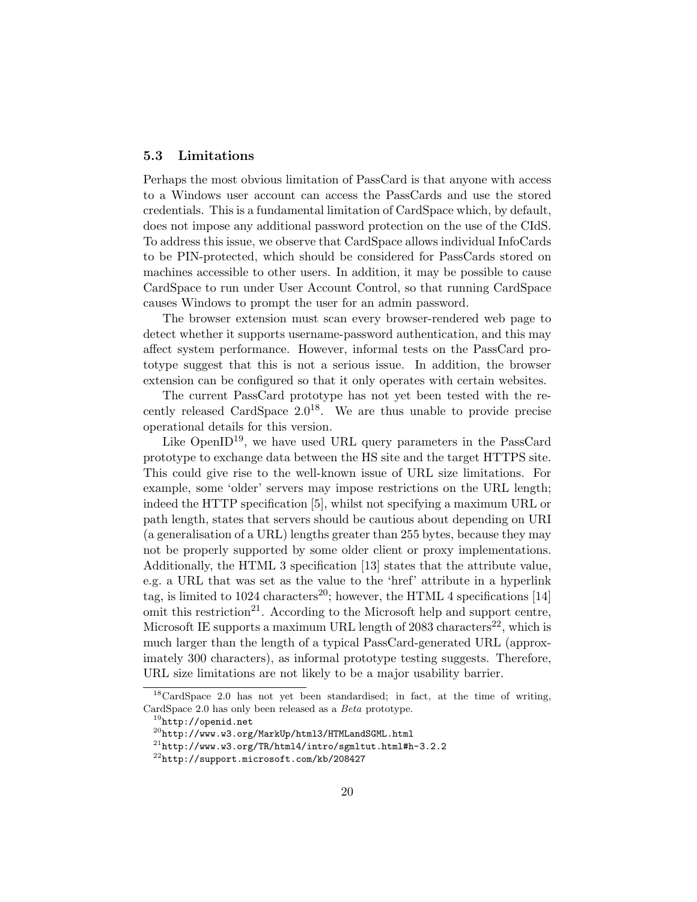## 5.3 Limitations

Perhaps the most obvious limitation of PassCard is that anyone with access to a Windows user account can access the PassCards and use the stored credentials. This is a fundamental limitation of CardSpace which, by default, does not impose any additional password protection on the use of the CIdS. To address this issue, we observe that CardSpace allows individual InfoCards to be PIN-protected, which should be considered for PassCards stored on machines accessible to other users. In addition, it may be possible to cause CardSpace to run under User Account Control, so that running CardSpace causes Windows to prompt the user for an admin password.

The browser extension must scan every browser-rendered web page to detect whether it supports username-password authentication, and this may affect system performance. However, informal tests on the PassCard prototype suggest that this is not a serious issue. In addition, the browser extension can be configured so that it only operates with certain websites.

The current PassCard prototype has not yet been tested with the recently released CardSpace  $2.0^{18}$ . We are thus unable to provide precise operational details for this version.

Like OpenID<sup>19</sup>, we have used URL query parameters in the PassCard prototype to exchange data between the HS site and the target HTTPS site. This could give rise to the well-known issue of URL size limitations. For example, some 'older' servers may impose restrictions on the URL length; indeed the HTTP specification [5], whilst not specifying a maximum URL or path length, states that servers should be cautious about depending on URI (a generalisation of a URL) lengths greater than 255 bytes, because they may not be properly supported by some older client or proxy implementations. Additionally, the HTML 3 specification [13] states that the attribute value, e.g. a URL that was set as the value to the 'href' attribute in a hyperlink tag, is limited to 1024 characters<sup>20</sup>; however, the HTML 4 specifications [14] omit this restriction<sup>21</sup>. According to the Microsoft help and support centre, Microsoft IE supports a maximum URL length of 2083 characters<sup>22</sup>, which is much larger than the length of a typical PassCard-generated URL (approximately 300 characters), as informal prototype testing suggests. Therefore, URL size limitations are not likely to be a major usability barrier.

<sup>18</sup>CardSpace 2.0 has not yet been standardised; in fact, at the time of writing, CardSpace 2.0 has only been released as a Beta prototype.

<sup>19</sup>http://openid.net

 $20$ http://www.w3.org/MarkUp/html3/HTMLandSGML.html

 $^{21}$ http://www.w3.org/TR/html4/intro/sgmltut.html#h-3.2.2

<sup>22</sup>http://support.microsoft.com/kb/208427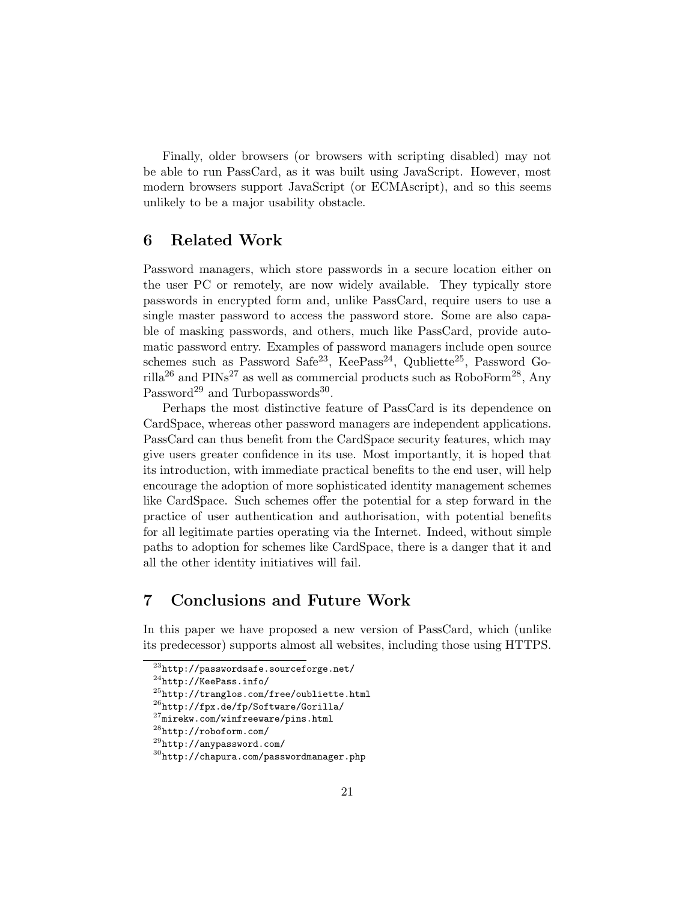Finally, older browsers (or browsers with scripting disabled) may not be able to run PassCard, as it was built using JavaScript. However, most modern browsers support JavaScript (or ECMAscript), and so this seems unlikely to be a major usability obstacle.

## 6 Related Work

Password managers, which store passwords in a secure location either on the user PC or remotely, are now widely available. They typically store passwords in encrypted form and, unlike PassCard, require users to use a single master password to access the password store. Some are also capable of masking passwords, and others, much like PassCard, provide automatic password entry. Examples of password managers include open source schemes such as Password Safe<sup>23</sup>, KeePass<sup>24</sup>, Qubliette<sup>25</sup>, Password Go $r$ illa<sup>26</sup> and PINs<sup>27</sup> as well as commercial products such as RoboForm<sup>28</sup>, Any Password<sup>29</sup> and Turbopasswords<sup>30</sup>.

Perhaps the most distinctive feature of PassCard is its dependence on CardSpace, whereas other password managers are independent applications. PassCard can thus benefit from the CardSpace security features, which may give users greater confidence in its use. Most importantly, it is hoped that its introduction, with immediate practical benefits to the end user, will help encourage the adoption of more sophisticated identity management schemes like CardSpace. Such schemes offer the potential for a step forward in the practice of user authentication and authorisation, with potential benefits for all legitimate parties operating via the Internet. Indeed, without simple paths to adoption for schemes like CardSpace, there is a danger that it and all the other identity initiatives will fail.

## 7 Conclusions and Future Work

In this paper we have proposed a new version of PassCard, which (unlike its predecessor) supports almost all websites, including those using HTTPS.

<sup>23</sup>http://passwordsafe.sourceforge.net/

 $^{24}\mathrm{http://KeePass.info/}$ 

 $^{25}\mathrm{http://trangles.com/free/oublette.html}$ 

 $^{26}$ http://fpx.de/fp/Software/Gorilla/

 $^{27}$ mirekw.com/winfreeware/pins.html

<sup>28</sup>http://roboform.com/

<sup>29</sup>http://anypassword.com/

 $30$ http://chapura.com/passwordmanager.php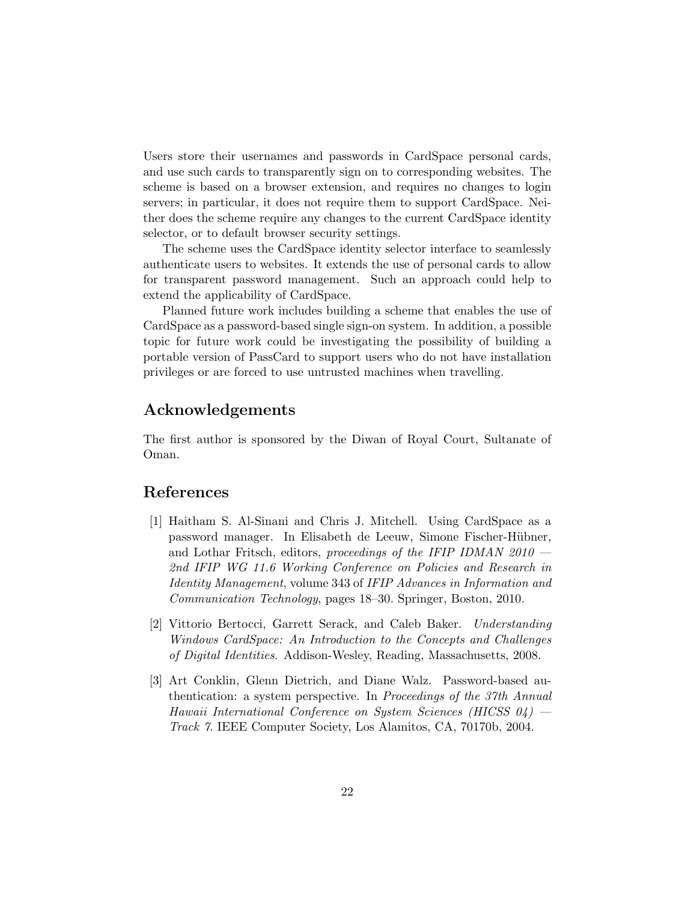Users store their usernames and passwords in CardSpace personal cards, and use such cards to transparently sign on to corresponding websites. The scheme is based on a browser extension, and requires no changes to login servers; in particular, it does not require them to support CardSpace. Neither does the scheme require any changes to the current CardSpace identity selector, or to default browser security settings.

The scheme uses the CardSpace identity selector interface to seamlessly authenticate users to websites. It extends the use of personal cards to allow for transparent password management. Such an approach could help to extend the applicability of CardSpace.

Planned future work includes building a scheme that enables the use of CardSpace as a password-based single sign-on system. In addition, a possible topic for future work could be investigating the possibility of building a portable version of PassCard to support users who do not have installation privileges or are forced to use untrusted machines when travelling.

## Acknowledgements

The first author is sponsored by the Diwan of Royal Court, Sultanate of Oman.

## References

- [1] Haitham S. Al-Sinani and Chris J. Mitchell. Using CardSpace as a password manager. In Elisabeth de Leeuw, Simone Fischer-Hübner, and Lothar Fritsch, editors, proceedings of the IFIP IDMAN 2010 – 2nd IFIP WG 11.6 Working Conference on Policies and Research in Identity Management, volume 343 of IFIP Advances in Information and Communication Technology, pages 18–30. Springer, Boston, 2010.
- [2] Vittorio Bertocci, Garrett Serack, and Caleb Baker. Understanding Windows CardSpace: An Introduction to the Concepts and Challenges of Digital Identities. Addison-Wesley, Reading, Massachusetts, 2008.
- [3] Art Conklin, Glenn Dietrich, and Diane Walz. Password-based authentication: a system perspective. In Proceedings of the 37th Annual Hawaii International Conference on System Sciences (HICSS 04) — Track 7. IEEE Computer Society, Los Alamitos, CA, 70170b, 2004.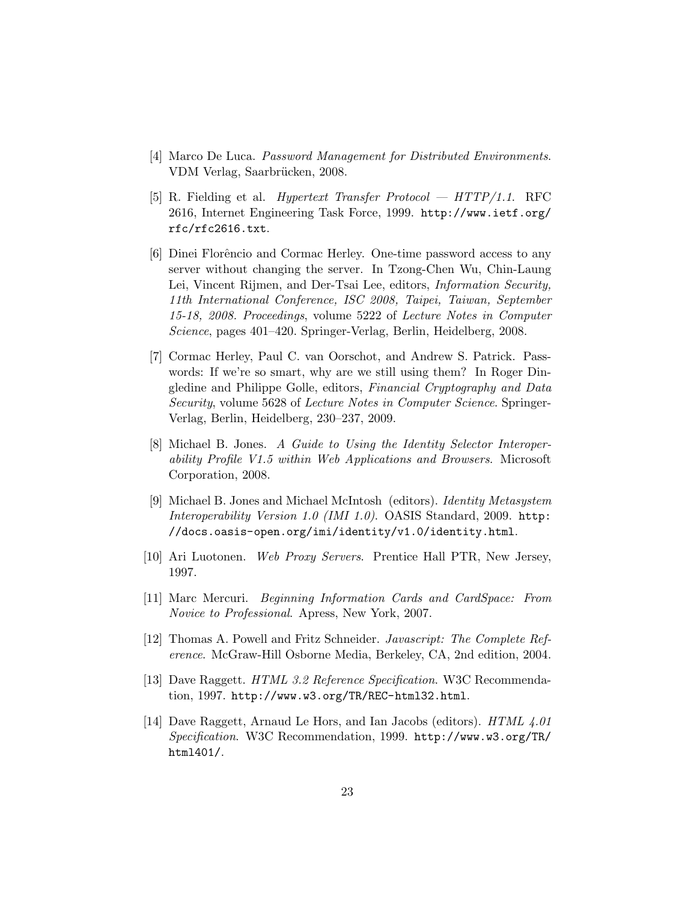- [4] Marco De Luca. Password Management for Distributed Environments. VDM Verlag, Saarbrücken, 2008.
- [5] R. Fielding et al. Hypertext Transfer Protocol HTTP/1.1. RFC 2616, Internet Engineering Task Force, 1999. http://www.ietf.org/ rfc/rfc2616.txt.
- [6] Dinei Florêncio and Cormac Herley. One-time password access to any server without changing the server. In Tzong-Chen Wu, Chin-Laung Lei, Vincent Rijmen, and Der-Tsai Lee, editors, Information Security, 11th International Conference, ISC 2008, Taipei, Taiwan, September 15-18, 2008. Proceedings, volume 5222 of Lecture Notes in Computer Science, pages 401–420. Springer-Verlag, Berlin, Heidelberg, 2008.
- [7] Cormac Herley, Paul C. van Oorschot, and Andrew S. Patrick. Passwords: If we're so smart, why are we still using them? In Roger Dingledine and Philippe Golle, editors, Financial Cryptography and Data Security, volume 5628 of Lecture Notes in Computer Science. Springer-Verlag, Berlin, Heidelberg, 230–237, 2009.
- [8] Michael B. Jones. A Guide to Using the Identity Selector Interoperability Profile V1.5 within Web Applications and Browsers. Microsoft Corporation, 2008.
- [9] Michael B. Jones and Michael McIntosh (editors). Identity Metasystem Interoperability Version 1.0 (IMI 1.0). OASIS Standard, 2009. http: //docs.oasis-open.org/imi/identity/v1.0/identity.html.
- [10] Ari Luotonen. Web Proxy Servers. Prentice Hall PTR, New Jersey, 1997.
- [11] Marc Mercuri. Beginning Information Cards and CardSpace: From Novice to Professional. Apress, New York, 2007.
- [12] Thomas A. Powell and Fritz Schneider. Javascript: The Complete Reference. McGraw-Hill Osborne Media, Berkeley, CA, 2nd edition, 2004.
- [13] Dave Raggett. HTML 3.2 Reference Specification. W3C Recommendation, 1997. http://www.w3.org/TR/REC-html32.html.
- [14] Dave Raggett, Arnaud Le Hors, and Ian Jacobs (editors). HTML 4.01 Specification. W3C Recommendation, 1999. http://www.w3.org/TR/ html401/.